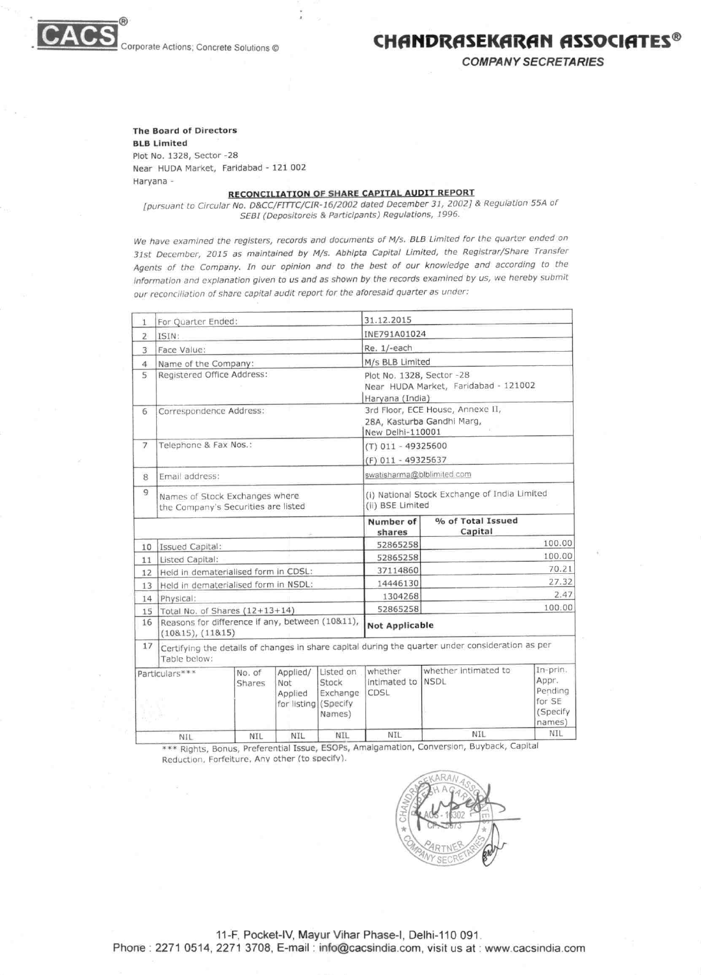

**COMPANY SECRETARIES** 

## **The Board of Directors**

**BLB Limited**  Plot No. 1328, Sector -28 Near HUDA Market, Faridabad - 121 002 Haryana -

## **RECONCILIATION OF SHARE CAPITAL AUDIT REPORT**

[pursuant to Circular No. D&CC/FITTC/CIR-16/2002 dated December 31, 20027 & Regulation 55A of SEBI (Depositoreis & Participants) Regulations, 1996.

We have examined the registers, records and documents of M/s. BLB Limited for the quarter ended on 31st December, 2015 as maintained by M/s. Abhipta Capital Limited, the Registrar/Share Transfer Agents of the Company. In our opinion and to the best of our knowledge and according to the information and explanation given to us and as shown by the records examined by us, we hereby submit our reconciliation of share capital audit report for the aforesaid quarter as under:

| $\mathbf{1}$   | For Quarter Ended:                                                                                               |                  |                                                    |                                                                  | 31.12.2015                                                                           |                              |                                                              |  |
|----------------|------------------------------------------------------------------------------------------------------------------|------------------|----------------------------------------------------|------------------------------------------------------------------|--------------------------------------------------------------------------------------|------------------------------|--------------------------------------------------------------|--|
| $\overline{2}$ | ISIN:                                                                                                            |                  |                                                    |                                                                  | INE791A01024                                                                         |                              |                                                              |  |
| 3              | Face Value:                                                                                                      |                  |                                                    |                                                                  | Re. 1/-each                                                                          |                              |                                                              |  |
| 4              | Name of the Company:                                                                                             |                  |                                                    |                                                                  | M/s BLB Limited                                                                      |                              |                                                              |  |
| 5              | Registered Office Address:                                                                                       |                  |                                                    |                                                                  | Plot No. 1328, Sector -28<br>Near HUDA Market, Faridabad - 121002<br>Haryana (India) |                              |                                                              |  |
| 6              | Correspondence Address:                                                                                          |                  |                                                    |                                                                  | 3rd Floor, ECE House, Annexe II,<br>28A, Kasturba Gandhi Marg,<br>New Delhi-110001   |                              |                                                              |  |
| $\overline{7}$ | Telephone & Fax Nos.:                                                                                            |                  |                                                    |                                                                  | $(T)$ 011 - 49325600<br>(F) 011 - 49325637                                           |                              |                                                              |  |
| $\mathcal{B}$  | Email address:                                                                                                   |                  |                                                    |                                                                  | swatisharma@blblimited.com                                                           |                              |                                                              |  |
| 9              | Names of Stock Exchanges where<br>the Company's Securities are listed                                            |                  |                                                    | (i) National Stock Exchange of India Limited<br>(ii) BSE Limited |                                                                                      |                              |                                                              |  |
|                |                                                                                                                  |                  |                                                    |                                                                  | Number of<br>shares                                                                  | % of Total Issued<br>Capital |                                                              |  |
| 10             | Issued Capital:                                                                                                  |                  |                                                    |                                                                  | 52865258                                                                             |                              | 100.00                                                       |  |
| 11             | Listed Capital:                                                                                                  |                  |                                                    |                                                                  | 52865258                                                                             | 100.00                       |                                                              |  |
| 12             | Held in dematerialised form in CDSL:                                                                             |                  |                                                    |                                                                  | 37114860                                                                             | 70.21                        |                                                              |  |
| 13             | Held in dematerialised form in NSDL:                                                                             |                  |                                                    |                                                                  | 14446130                                                                             | 27.32                        |                                                              |  |
| 14             | Physical:                                                                                                        |                  |                                                    |                                                                  | 1304268                                                                              | 2.47                         |                                                              |  |
| 15             | Total No. of Shares $(12+13+14)$                                                                                 |                  |                                                    |                                                                  | 52865258                                                                             |                              | 100.00                                                       |  |
| 16             | Reasons for difference if any, between (10&11),<br>(10815), (11815)                                              |                  |                                                    |                                                                  | <b>Not Applicable</b>                                                                |                              |                                                              |  |
| 17             | Certifying the details of changes in share capital during the quarter under consideration as per<br>Table below: |                  |                                                    |                                                                  |                                                                                      |                              |                                                              |  |
|                | Particulars***                                                                                                   | No. of<br>Shares | Applied/<br>Not<br>Applied<br>for listing (Specify | Listed on<br>Stock<br>Exchange<br>Names)                         | whether<br>intimated to NSDL<br>CDSL                                                 | whether intimated to         | In-prin.<br>Appr.<br>Pending<br>for SE<br>(Specify<br>names) |  |
|                | NIL                                                                                                              | NIL              | <b>NIL</b>                                         | <b>NIL</b>                                                       | <b>NIL</b>                                                                           | <b>NIL</b>                   | NIL                                                          |  |
|                |                                                                                                                  |                  |                                                    |                                                                  |                                                                                      |                              |                                                              |  |

NIL NIL NIL NIL NIL NIL \_ .. , \*\*\* Rights, Bonus, Preferential Issue, ESOPs, Amalgamation, Conversion, Buyback, a Reduction, Forfeiture, Any other (to specify).



11-F, Pocket-IV, Mayur Vihar Phase-I, Delhi-110 091. Phone : 2271 0514, 2271 3708, E-mail : info@cacsindia.com, visit us at : www.cacsindia.com